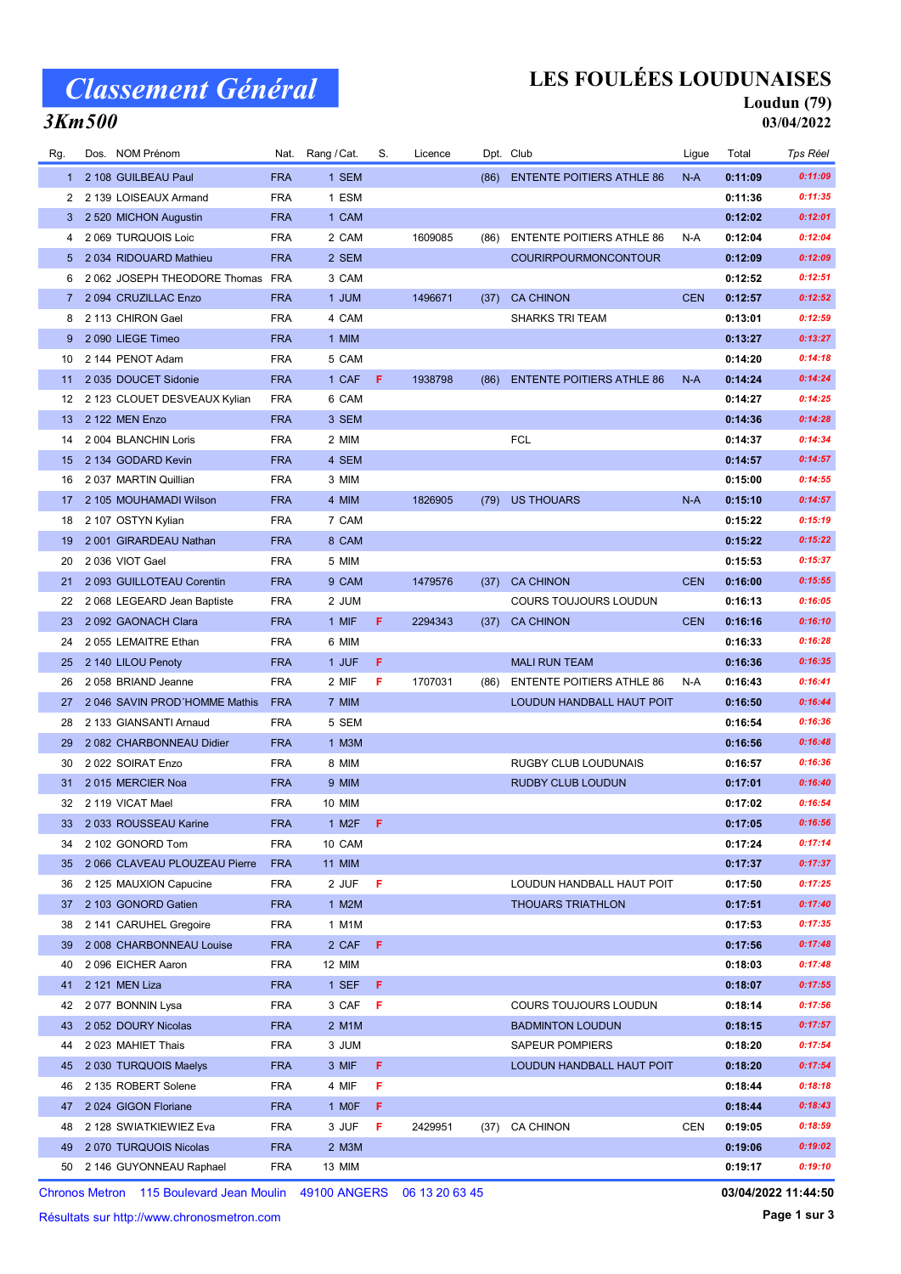# Classement Général

3Km500

## LES FOULÉES LOUDUNAISES

# Loudun (79)

03/04/2022

| Rg.          | Dos. NOM Prénom               | Nat.       | Rang / Cat.          | S.  | Licence |      | Dpt. Club                        | Ligue      | Total   | Tps Réel |
|--------------|-------------------------------|------------|----------------------|-----|---------|------|----------------------------------|------------|---------|----------|
| 1            | 2 108 GUILBEAU Paul           | <b>FRA</b> | 1 SEM                |     |         |      | (86) ENTENTE POITIERS ATHLE 86   | $N-A$      | 0:11:09 | 0:11:09  |
| 2            | 2 139 LOISEAUX Armand         | <b>FRA</b> | 1 ESM                |     |         |      |                                  |            | 0:11:36 | 0:11:35  |
| 3            | 2 520 MICHON Augustin         | <b>FRA</b> | 1 CAM                |     |         |      |                                  |            | 0:12:02 | 0:12:01  |
| 4            | 2 069 TURQUOIS Loic           | <b>FRA</b> | 2 CAM                |     | 1609085 | (86) | <b>ENTENTE POITIERS ATHLE 86</b> | N-A        | 0:12:04 | 0:12:04  |
| 5            | 2034 RIDOUARD Mathieu         | <b>FRA</b> | 2 SEM                |     |         |      | <b>COURIRPOURMONCONTOUR</b>      |            | 0:12:09 | 0:12:09  |
| 6            | 2 062 JOSEPH THEODORE Thomas  | FRA        | 3 CAM                |     |         |      |                                  |            | 0:12:52 | 0:12:51  |
| $\mathbf{7}$ | 2 094 CRUZILLAC Enzo          | <b>FRA</b> | 1 JUM                |     | 1496671 | (37) | <b>CA CHINON</b>                 | <b>CEN</b> | 0:12:57 | 0:12:52  |
| 8            | 2 113 CHIRON Gael             | <b>FRA</b> | 4 CAM                |     |         |      | <b>SHARKS TRI TEAM</b>           |            | 0:13:01 | 0:12:59  |
| 9            | 2090 LIEGE Timeo              | <b>FRA</b> | 1 MIM                |     |         |      |                                  |            | 0:13:27 | 0:13:27  |
| 10           | 2 144 PENOT Adam              | <b>FRA</b> | 5 CAM                |     |         |      |                                  |            | 0:14:20 | 0:14:18  |
| 11           | 2 035 DOUCET Sidonie          | <b>FRA</b> | 1 CAF                | F.  | 1938798 | (86) | <b>ENTENTE POITIERS ATHLE 86</b> | $N-A$      | 0:14:24 | 0:14:24  |
| 12           | 2 123 CLOUET DESVEAUX Kylian  | <b>FRA</b> | 6 CAM                |     |         |      |                                  |            | 0:14:27 | 0:14:25  |
| 13           | 2 122 MEN Enzo                | <b>FRA</b> | 3 SEM                |     |         |      |                                  |            | 0:14:36 | 0:14:28  |
| 14           | 2 004 BLANCHIN Loris          | <b>FRA</b> | 2 MIM                |     |         |      | <b>FCL</b>                       |            | 0:14:37 | 0:14:34  |
| 15           | 2 134 GODARD Kevin            | <b>FRA</b> | 4 SEM                |     |         |      |                                  |            | 0:14:57 | 0:14:57  |
| 16           | 2037 MARTIN Quillian          | <b>FRA</b> | 3 MIM                |     |         |      |                                  |            | 0:15:00 | 0:14:55  |
| 17           | 2 105 MOUHAMADI Wilson        | <b>FRA</b> | 4 MIM                |     | 1826905 | (79) | <b>US THOUARS</b>                | $N-A$      | 0:15:10 | 0:14:57  |
| 18           | 2 107 OSTYN Kylian            | <b>FRA</b> | 7 CAM                |     |         |      |                                  |            | 0:15:22 | 0:15:19  |
| 19           | 2001 GIRARDEAU Nathan         | <b>FRA</b> | 8 CAM                |     |         |      |                                  |            | 0:15:22 | 0:15:22  |
| 20           | 2036 VIOT Gael                | <b>FRA</b> | 5 MIM                |     |         |      |                                  |            | 0:15:53 | 0:15:37  |
| 21           | 2 093 GUILLOTEAU Corentin     | <b>FRA</b> | 9 CAM                |     | 1479576 | (37) | <b>CA CHINON</b>                 | <b>CEN</b> | 0:16:00 | 0:15:55  |
| 22           | 2 068 LEGEARD Jean Baptiste   | <b>FRA</b> | 2 JUM                |     |         |      | <b>COURS TOUJOURS LOUDUN</b>     |            | 0:16:13 | 0:16:05  |
| 23           | 2 092 GAONACH Clara           | <b>FRA</b> | 1 MIF                | F.  | 2294343 | (37) | <b>CA CHINON</b>                 | <b>CEN</b> | 0:16:16 | 0:16:10  |
| 24           | 2055 LEMAITRE Ethan           | <b>FRA</b> | 6 MIM                |     |         |      |                                  |            | 0:16:33 | 0:16:28  |
| 25           | 2 140 LILOU Penoty            | <b>FRA</b> | 1 JUF                | F   |         |      | <b>MALI RUN TEAM</b>             |            | 0:16:36 | 0:16:35  |
| 26           | 2058 BRIAND Jeanne            | <b>FRA</b> | 2 MIF                | F   | 1707031 | (86) | <b>ENTENTE POITIERS ATHLE 86</b> | N-A        | 0:16:43 | 0:16:41  |
| 27           | 2 046 SAVIN PROD'HOMME Mathis | <b>FRA</b> | 7 MIM                |     |         |      | LOUDUN HANDBALL HAUT POIT        |            | 0:16:50 | 0:16:44  |
| 28           | 2 133 GIANSANTI Arnaud        | <b>FRA</b> | 5 SEM                |     |         |      |                                  |            | 0:16:54 | 0:16:36  |
| 29           | 2 082 CHARBONNEAU Didier      | <b>FRA</b> | 1 M3M                |     |         |      |                                  |            | 0:16:56 | 0:16:48  |
| 30           | 2022 SOIRAT Enzo              | <b>FRA</b> | 8 MIM                |     |         |      | <b>RUGBY CLUB LOUDUNAIS</b>      |            | 0:16:57 | 0:16:36  |
| 31           | 2015 MERCIER Noa              | <b>FRA</b> | 9 MIM                |     |         |      | RUDBY CLUB LOUDUN                |            | 0:17:01 | 0:16:40  |
| 32           | 2 119 VICAT Mael              | <b>FRA</b> | 10 MIM               |     |         |      |                                  |            | 0:17:02 | 0:16:54  |
| 33           | 2 033 ROUSSEAU Karine         | <b>FRA</b> | $1$ M <sub>2</sub> F | - F |         |      |                                  |            | 0:17:05 | 0:16:56  |
| 34           | 2 102 GONORD Tom              | <b>FRA</b> | 10 CAM               |     |         |      |                                  |            | 0:17:24 | 0:17:14  |
| 35           | 2 066 CLAVEAU PLOUZEAU Pierre | <b>FRA</b> | <b>11 MIM</b>        |     |         |      |                                  |            | 0:17:37 | 0:17:37  |
| 36           | 2 125 MAUXION Capucine        | <b>FRA</b> | 2 JUF                | F   |         |      | LOUDUN HANDBALL HAUT POIT        |            | 0:17:50 | 0:17:25  |
| 37           | 2 103 GONORD Gatien           | <b>FRA</b> | 1 M2M                |     |         |      | <b>THOUARS TRIATHLON</b>         |            | 0:17:51 | 0:17:40  |
| 38           | 2 141 CARUHEL Gregoire        | <b>FRA</b> | 1 M1M                |     |         |      |                                  |            | 0:17:53 | 0:17:35  |
| 39           | 2 008 CHARBONNEAU Louise      | <b>FRA</b> | 2 CAF                | F   |         |      |                                  |            | 0:17:56 | 0:17:48  |
| 40           | 2096 EICHER Aaron             | <b>FRA</b> | 12 MIM               |     |         |      |                                  |            | 0:18:03 | 0:17:48  |
| 41           | 2 121 MEN Liza                | <b>FRA</b> | 1 SEF                | F.  |         |      |                                  |            | 0:18:07 | 0:17:55  |
| 42           | 2077 BONNIN Lysa              | <b>FRA</b> | 3 CAF                | F   |         |      | <b>COURS TOUJOURS LOUDUN</b>     |            | 0:18:14 | 0:17:56  |
| 43           | 2 052 DOURY Nicolas           | <b>FRA</b> | 2 M1M                |     |         |      | <b>BADMINTON LOUDUN</b>          |            | 0:18:15 | 0:17:57  |
| 44           | 2023 MAHIET Thais             | <b>FRA</b> | 3 JUM                |     |         |      | SAPEUR POMPIERS                  |            | 0:18:20 | 0:17:54  |
| 45           | 2 030 TURQUOIS Maelys         | <b>FRA</b> | 3 MIF                | F.  |         |      | LOUDUN HANDBALL HAUT POIT        |            | 0:18:20 | 0:17:54  |
| 46           | 2 135 ROBERT Solene           | <b>FRA</b> | 4 MIF                | F   |         |      |                                  |            | 0:18:44 | 0:18:18  |
| 47           | 2024 GIGON Floriane           | <b>FRA</b> | 1 MOF                | F.  |         |      |                                  |            | 0:18:44 | 0:18:43  |
| 48           | 2 128 SWIATKIEWIEZ Eva        | <b>FRA</b> | 3 JUF                | F   | 2429951 |      | (37) CA CHINON                   | <b>CEN</b> | 0:19:05 | 0:18:59  |
| 49           | 2 070 TURQUOIS Nicolas        | <b>FRA</b> | 2 M3M                |     |         |      |                                  |            | 0:19:06 | 0:19:02  |
|              | 50 2 146 GUYONNEAU Raphael    | <b>FRA</b> | 13 MIM               |     |         |      |                                  |            | 0:19:17 | 0:19:10  |
|              |                               |            |                      |     |         |      |                                  |            |         |          |

Chronos Metron 115 Boulevard Jean Moulin 49100 ANGERS 06 13 20 63 45

Résultats sur http://www.chronosmetron.com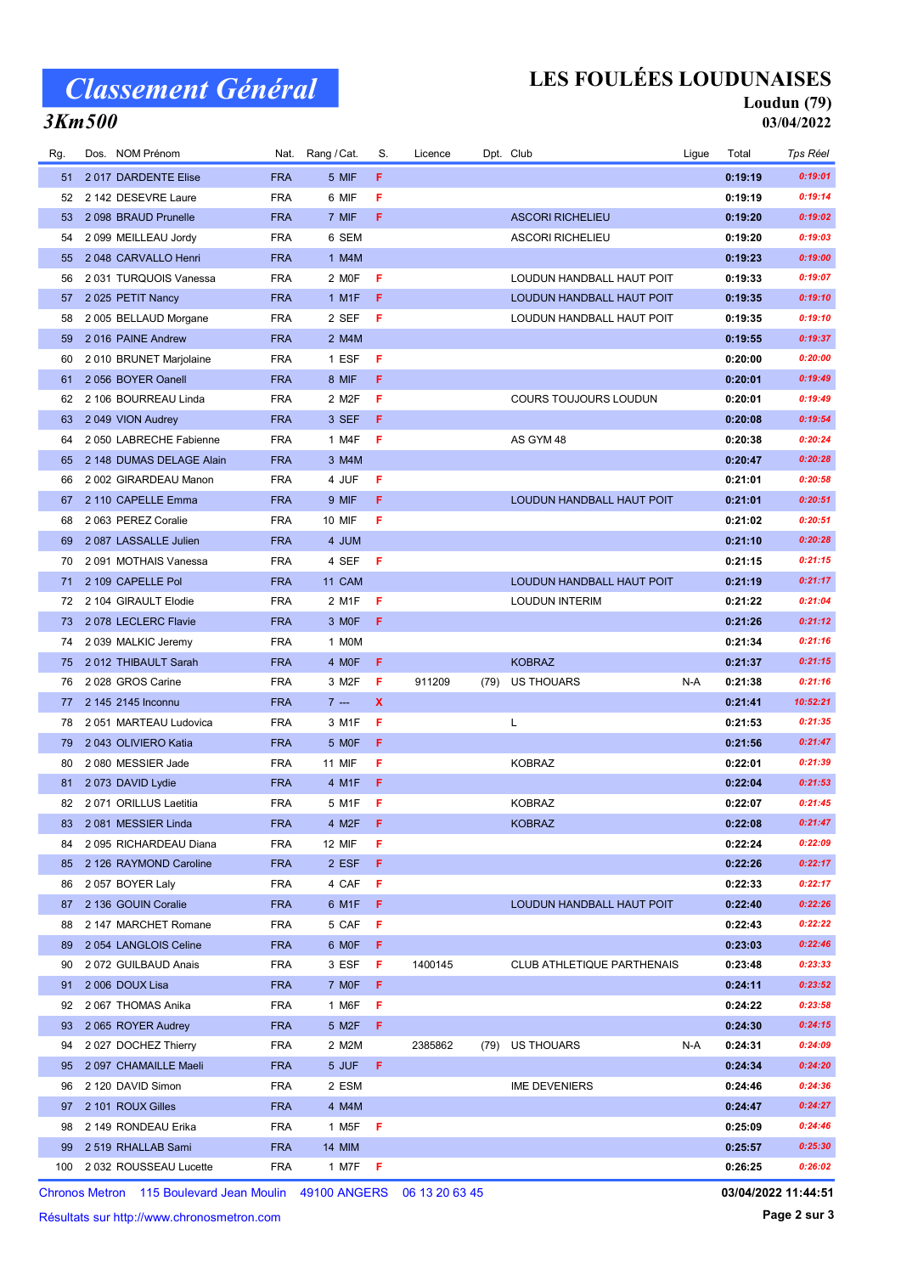# Classement Général

### LES FOULÉES LOUDUNAISES

#### Loudun (79) 03/04/2022

### 3Km500

| Rg. | Dos. NOM Prénom            |            | Nat. Rang / Cat.   | S.  | Licence | Dpt. Club                         | Ligue | Total   | <b>Tps Réel</b> |
|-----|----------------------------|------------|--------------------|-----|---------|-----------------------------------|-------|---------|-----------------|
| 51  | 2017 DARDENTE Elise        | <b>FRA</b> | 5 MIF              | F.  |         |                                   |       | 0:19:19 | 0:19:01         |
| 52  | 2 142 DESEVRE Laure        | <b>FRA</b> | 6 MIF              | F   |         |                                   |       | 0:19:19 | 0:19:14         |
| 53  | 2 098 BRAUD Prunelle       | <b>FRA</b> | 7 MIF              | F.  |         | <b>ASCORI RICHELIEU</b>           |       | 0:19:20 | 0:19:02         |
| 54  | 2 099 MEILLEAU Jordy       | <b>FRA</b> | 6 SEM              |     |         | <b>ASCORI RICHELIEU</b>           |       | 0:19:20 | 0:19:03         |
| 55  | 2048 CARVALLO Henri        | <b>FRA</b> | 1 M4M              |     |         |                                   |       | 0:19:23 | 0:19:00         |
| 56  | 2031 TURQUOIS Vanessa      | <b>FRA</b> | 2 MOF              | F   |         | LOUDUN HANDBALL HAUT POIT         |       | 0:19:33 | 0:19:07         |
| 57  | 2025 PETIT Nancy           | <b>FRA</b> | 1 M1F              | F.  |         | LOUDUN HANDBALL HAUT POIT         |       | 0:19:35 | 0:19:10         |
| 58  | 2 005 BELLAUD Morgane      | <b>FRA</b> | 2 SEF              | F   |         | LOUDUN HANDBALL HAUT POIT         |       | 0:19:35 | 0:19:10         |
| 59  | 2016 PAINE Andrew          | <b>FRA</b> | 2 M4M              |     |         |                                   |       | 0:19:55 | 0:19:37         |
| 60  | 2010 BRUNET Marjolaine     | <b>FRA</b> | 1 ESF              | F   |         |                                   |       | 0:20:00 | 0:20:00         |
| 61  | 2 056 BOYER Oanell         | <b>FRA</b> | 8 MIF              | F.  |         |                                   |       | 0:20:01 | 0:19:49         |
| 62  | 2 106 BOURREAU Linda       | <b>FRA</b> | 2 M2F              | F   |         | COURS TOUJOURS LOUDUN             |       | 0:20:01 | 0:19:49         |
| 63  | 2049 VION Audrey           | <b>FRA</b> | 3 SEF              | F.  |         |                                   |       | 0:20:08 | 0:19:54         |
| 64  | 2 050 LABRECHE Fabienne    | <b>FRA</b> | 1 M4F              | F   |         | AS GYM 48                         |       | 0:20:38 | 0:20:24         |
| 65  | 2 148 DUMAS DELAGE Alain   | <b>FRA</b> | 3 M4M              |     |         |                                   |       | 0:20:47 | 0:20:28         |
| 66  | 2 002 GIRARDEAU Manon      | <b>FRA</b> | 4 JUF              | F   |         |                                   |       | 0:21:01 | 0:20:58         |
| 67  | 2 110 CAPELLE Emma         | <b>FRA</b> | 9 MIF              | F.  |         | LOUDUN HANDBALL HAUT POIT         |       | 0:21:01 | 0:20:51         |
| 68  | 2063 PEREZ Coralie         | <b>FRA</b> | <b>10 MIF</b>      | F   |         |                                   |       | 0:21:02 | 0:20:51         |
| 69  | 2087 LASSALLE Julien       | <b>FRA</b> | 4 JUM              |     |         |                                   |       | 0:21:10 | 0:20:28         |
| 70  | 2091 MOTHAIS Vanessa       | <b>FRA</b> | 4 SEF              | F   |         |                                   |       | 0:21:15 | 0:21:15         |
| 71  | 2 109 CAPELLE Pol          | <b>FRA</b> | 11 CAM             |     |         | LOUDUN HANDBALL HAUT POIT         |       | 0:21:19 | 0:21:17         |
| 72  | 2 104 GIRAULT Elodie       | <b>FRA</b> | 2 M1F              | F   |         | <b>LOUDUN INTERIM</b>             |       | 0:21:22 | 0:21:04         |
| 73  | 2078 LECLERC Flavie        | <b>FRA</b> | 3 MOF              | F.  |         |                                   |       | 0:21:26 | 0:21:12         |
| 74  | 2039 MALKIC Jeremy         | <b>FRA</b> | 1 MOM              |     |         |                                   |       | 0:21:34 | 0:21:16         |
| 75  | 2012 THIBAULT Sarah        | <b>FRA</b> | 4 MOF              | F.  |         | <b>KOBRAZ</b>                     |       | 0:21:37 | 0:21:15         |
| 76  | 2028 GROS Carine           | <b>FRA</b> | 3 M2F              | F   | 911209  | (79) US THOUARS                   | N-A   | 0:21:38 | 0:21:16         |
| 77  | 2 145 2145 Inconnu         | <b>FRA</b> | $7 -$              | X   |         |                                   |       | 0:21:41 | 10:52:21        |
| 78  | 2051 MARTEAU Ludovica      | <b>FRA</b> | 3 M1F              | F   |         | L                                 |       | 0:21:53 | 0:21:35         |
| 79  | 2043 OLIVIERO Katia        | <b>FRA</b> | 5 MOF              | F.  |         |                                   |       | 0:21:56 | 0:21:47         |
| 80  | 2080 MESSIER Jade          | <b>FRA</b> | <b>11 MIF</b>      | F   |         | <b>KOBRAZ</b>                     |       | 0:22:01 | 0:21:39         |
| 81  | 2073 DAVID Lydie           | <b>FRA</b> | 4 M1F              | F.  |         |                                   |       | 0:22:04 | 0:21:53         |
| 82  | 2071 ORILLUS Laetitia      | <b>FRA</b> | 5 M1F              | F   |         | <b>KOBRAZ</b>                     |       | 0:22:07 | 0:21:45         |
| 83  | 2081 MESSIER Linda         | <b>FRA</b> | 4 M2F              | F   |         | <b>KOBRAZ</b>                     |       | 0:22:08 | 0:21:47         |
| 84  | 2095 RICHARDEAU Diana      | <b>FRA</b> | 12 MIF             | F   |         |                                   |       | 0:22:24 | 0:22:09         |
| 85  | 2 126 RAYMOND Caroline     | <b>FRA</b> | 2 ESF              | F.  |         |                                   |       | 0:22:26 | 0:22:17         |
| 86  | 2 057 BOYER Laly           | <b>FRA</b> | 4 CAF              | F.  |         |                                   |       | 0:22:33 | 0:22:17         |
| 87  | 2 136 GOUIN Coralie        | <b>FRA</b> | 6 M1F              | F.  |         | LOUDUN HANDBALL HAUT POIT         |       | 0:22:40 | 0:22:26         |
| 88  | 2 147 MARCHET Romane       | <b>FRA</b> | 5 CAF              | F   |         |                                   |       | 0:22:43 | 0:22:22         |
| 89  | 2054 LANGLOIS Celine       | <b>FRA</b> | 6 MOF              | F.  |         |                                   |       | 0:23:03 | 0:22:46         |
| 90  | 2 072 GUILBAUD Anais       | <b>FRA</b> | 3 ESF              | F.  | 1400145 | <b>CLUB ATHLETIQUE PARTHENAIS</b> |       | 0:23:48 | 0:23:33         |
| 91  | 2 006 DOUX Lisa            | <b>FRA</b> | 7 MOF              | F.  |         |                                   |       | 0:24:11 | 0:23:52         |
| 92  | 2067 THOMAS Anika          | <b>FRA</b> | 1 M6F              | F.  |         |                                   |       | 0:24:22 | 0:23:58         |
| 93  | 2065 ROYER Audrey          | <b>FRA</b> | 5 M2F              | F.  |         |                                   |       | 0:24:30 | 0:24:15         |
| 94  | 2 027 DOCHEZ Thierry       | <b>FRA</b> | 2 M2M              |     | 2385862 | (79) US THOUARS                   | N-A   | 0:24:31 | 0:24:09         |
| 95  | 2 097 CHAMAILLE Maeli      | <b>FRA</b> | 5 JUF              | F.  |         |                                   |       | 0:24:34 | 0:24:20         |
| 96  | 2 120 DAVID Simon          | <b>FRA</b> | 2 ESM              |     |         | <b>IME DEVENIERS</b>              |       | 0:24:46 | 0:24:36         |
| 97  | 2 101 ROUX Gilles          | <b>FRA</b> | 4 M4M              |     |         |                                   |       | 0:24:47 | 0:24:27         |
| 98  | 2 149 RONDEAU Erika        | <b>FRA</b> | 1 M <sub>5</sub> F | F   |         |                                   |       | 0:25:09 | 0:24:46         |
| 99  | 2 519 RHALLAB Sami         | <b>FRA</b> | <b>14 MIM</b>      |     |         |                                   |       | 0:25:57 | 0:25:30         |
|     | 100 2 032 ROUSSEAU Lucette | <b>FRA</b> | 1 M7F              | - F |         |                                   |       | 0:26:25 | 0:26:02         |
|     |                            |            |                    |     |         |                                   |       |         |                 |

Chronos Metron 115 Boulevard Jean Moulin 49100 ANGERS 06 13 20 63 45

Résultats sur http://www.chronosmetron.com